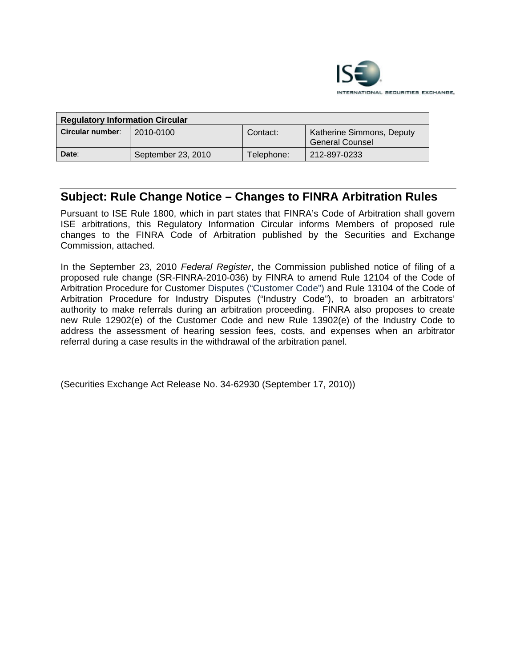

| <b>Regulatory Information Circular</b> |                    |            |                                                     |
|----------------------------------------|--------------------|------------|-----------------------------------------------------|
| Circular number:                       | 2010-0100          | Contact:   | <b>Katherine Simmons, Deputy</b><br>General Counsel |
| Date:                                  | September 23, 2010 | Telephone: | 212-897-0233                                        |

# **Subject: Rule Change Notice – Changes to FINRA Arbitration Rules**

Pursuant to ISE Rule 1800, which in part states that FINRA's Code of Arbitration shall govern ISE arbitrations, this Regulatory Information Circular informs Members of proposed rule changes to the FINRA Code of Arbitration published by the Securities and Exchange Commission, attached.

In the September 23, 2010 *Federal Register*, the Commission published notice of filing of a proposed rule change (SR-FINRA-2010-036) by FINRA to amend Rule 12104 of the Code of Arbitration Procedure for Customer Disputes ("Customer Code") and Rule 13104 of the Code of Arbitration Procedure for Industry Disputes ("Industry Code"), to broaden an arbitrators' authority to make referrals during an arbitration proceeding. FINRA also proposes to create new Rule 12902(e) of the Customer Code and new Rule 13902(e) of the Industry Code to address the assessment of hearing session fees, costs, and expenses when an arbitrator referral during a case results in the withdrawal of the arbitration panel.

(Securities Exchange Act Release No. 34-62930 (September 17, 2010))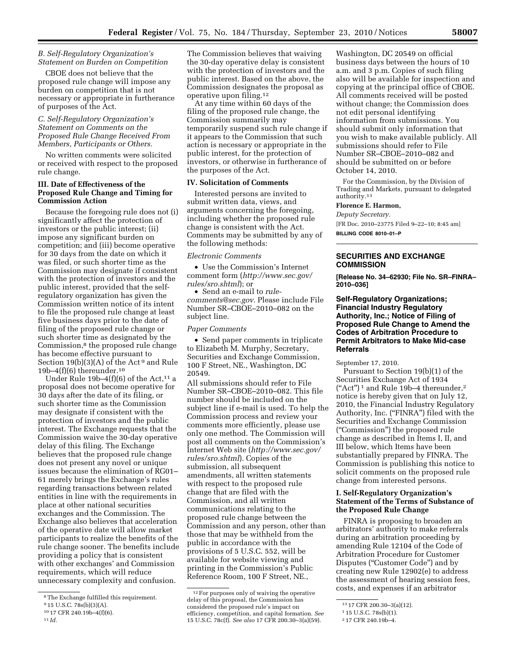# *B. Self-Regulatory Organization's Statement on Burden on Competition*

CBOE does not believe that the proposed rule change will impose any burden on competition that is not necessary or appropriate in furtherance of purposes of the Act.

# *C. Self-Regulatory Organization's Statement on Comments on the Proposed Rule Change Received From Members, Participants or Others.*

No written comments were solicited or received with respect to the proposed rule change.

#### **III. Date of Effectiveness of the Proposed Rule Change and Timing for Commission Action**

Because the foregoing rule does not (i) significantly affect the protection of investors or the public interest; (ii) impose any significant burden on competition; and (iii) become operative for 30 days from the date on which it was filed, or such shorter time as the Commission may designate if consistent with the protection of investors and the public interest, provided that the selfregulatory organization has given the Commission written notice of its intent to file the proposed rule change at least five business days prior to the date of filing of the proposed rule change or such shorter time as designated by the Commission,8 the proposed rule change has become effective pursuant to Section 19(b)(3)(A) of the Act<sup>9</sup> and Rule 19b–4 $(f)(6)$  thereunder.<sup>10</sup>

Under Rule 19b-4 $(f)(6)$  of the Act,<sup>11</sup> a proposal does not become operative for 30 days after the date of its filing, or such shorter time as the Commission may designate if consistent with the protection of investors and the public interest. The Exchange requests that the Commission waive the 30-day operative delay of this filing. The Exchange believes that the proposed rule change does not present any novel or unique issues because the elimination of RG01– 61 merely brings the Exchange's rules regarding transactions between related entities in line with the requirements in place at other national securities exchanges and the Commission. The Exchange also believes that acceleration of the operative date will allow market participants to realize the benefits of the rule change sooner. The benefits include providing a policy that is consistent with other exchanges' and Commission requirements, which will reduce unnecessary complexity and confusion.

The Commission believes that waiving the 30-day operative delay is consistent with the protection of investors and the public interest. Based on the above, the Commission designates the proposal as operative upon filing.12

At any time within 60 days of the filing of the proposed rule change, the Commission summarily may temporarily suspend such rule change if it appears to the Commission that such action is necessary or appropriate in the public interest, for the protection of investors, or otherwise in furtherance of the purposes of the Act.

# **IV. Solicitation of Comments**

Interested persons are invited to submit written data, views, and arguments concerning the foregoing, including whether the proposed rule change is consistent with the Act. Comments may be submitted by any of the following methods:

#### *Electronic Comments*

• Use the Commission's Internet comment form (*[http://www.sec.gov/](http://www.sec.gov/rules/sro.shtml)  [rules/sro.shtml](http://www.sec.gov/rules/sro.shtml)*); or

• Send an e-mail to *[rule](mailto:rule-comments@sec.gov)[comments@sec.gov.](mailto:rule-comments@sec.gov)* Please include File Number SR–CBOE–2010–082 on the subject line.

## *Paper Comments*

• Send paper comments in triplicate to Elizabeth M. Murphy, Secretary, Securities and Exchange Commission, 100 F Street, NE., Washington, DC 20549.

All submissions should refer to File Number SR–CBOE–2010–082. This file number should be included on the subject line if e-mail is used. To help the Commission process and review your comments more efficiently, please use only one method. The Commission will post all comments on the Commission's Internet Web site (*[http://www.sec.gov/](http://www.sec.gov/rules/sro.shtml)  [rules/sro.shtml](http://www.sec.gov/rules/sro.shtml)*). Copies of the submission, all subsequent amendments, all written statements with respect to the proposed rule change that are filed with the Commission, and all written communications relating to the proposed rule change between the Commission and any person, other than those that may be withheld from the public in accordance with the provisions of 5 U.S.C. 552, will be available for website viewing and printing in the Commission's Public Reference Room, 100 F Street, NE.,

Washington, DC 20549 on official business days between the hours of 10 a.m. and 3 p.m. Copies of such filing also will be available for inspection and copying at the principal office of CBOE. All comments received will be posted without change; the Commission does not edit personal identifying information from submissions. You should submit only information that you wish to make available publicly. All submissions should refer to File Number SR–CBOE–2010–082 and should be submitted on or before October 14, 2010.

For the Commission, by the Division of Trading and Markets, pursuant to delegated authority.13

#### **Florence E. Harmon,**

*Deputy Secretary.* 

[FR Doc. 2010–23775 Filed 9–22–10; 8:45 am]

**BILLING CODE 8010–01–P** 

# **SECURITIES AND EXCHANGE COMMISSION**

**[Release No. 34–62930; File No. SR–FINRA– 2010–036]** 

## **Self-Regulatory Organizations; Financial Industry Regulatory Authority, Inc.; Notice of Filing of Proposed Rule Change to Amend the Codes of Arbitration Procedure to Permit Arbitrators to Make Mid-case Referrals**

September 17, 2010.

Pursuant to Section 19(b)(1) of the Securities Exchange Act of 1934 ("Act")<sup>1</sup> and Rule 19b-4 thereunder,<sup>2</sup> notice is hereby given that on July 12, 2010, the Financial Industry Regulatory Authority, Inc. ("FINRA") filed with the Securities and Exchange Commission (''Commission'') the proposed rule change as described in Items I, II, and III below, which Items have been substantially prepared by FINRA. The Commission is publishing this notice to solicit comments on the proposed rule change from interested persons.

# **I. Self-Regulatory Organization's Statement of the Terms of Substance of the Proposed Rule Change**

FINRA is proposing to broaden an arbitrators' authority to make referrals during an arbitration proceeding by amending Rule 12104 of the Code of Arbitration Procedure for Customer Disputes (''Customer Code'') and by creating new Rule 12902(e) to address the assessment of hearing session fees, costs, and expenses if an arbitrator

<sup>8</sup>The Exchange fulfilled this requirement.

<sup>9</sup> 15 U.S.C. 78s(b)(3)(A).

<sup>10</sup> 17 CFR 240.19b–4(f)(6).

<sup>11</sup> *Id.* 

<sup>12</sup>For purposes only of waiving the operative delay of this proposal, the Commission has considered the proposed rule's impact on efficiency, competition, and capital formation. *See*  15 U.S.C. 78c(f). *See also* 17 CFR 200.30–3(a)(59).

<sup>13</sup> 17 CFR 200.30–3(a)(12).

<sup>1</sup> 15 U.S.C. 78s(b)(1).

<sup>2</sup> 17 CFR 240.19b–4.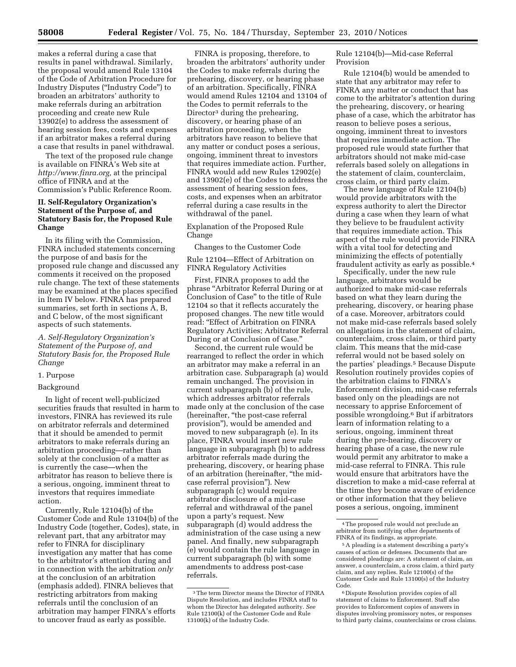makes a referral during a case that results in panel withdrawal. Similarly, the proposal would amend Rule 13104 of the Code of Arbitration Procedure for Industry Disputes (''Industry Code'') to broaden an arbitrators' authority to make referrals during an arbitration proceeding and create new Rule 13902(e) to address the assessment of hearing session fees, costs and expenses if an arbitrator makes a referral during a case that results in panel withdrawal.

The text of the proposed rule change is available on FINRA's Web site at *[http://www.finra.org,](http://www.finra.org)* at the principal office of FINRA and at the Commission's Public Reference Room.

# **II. Self-Regulatory Organization's Statement of the Purpose of, and Statutory Basis for, the Proposed Rule Change**

In its filing with the Commission, FINRA included statements concerning the purpose of and basis for the proposed rule change and discussed any comments it received on the proposed rule change. The text of these statements may be examined at the places specified in Item IV below. FINRA has prepared summaries, set forth in sections A, B, and C below, of the most significant aspects of such statements.

*A. Self-Regulatory Organization's Statement of the Purpose of, and Statutory Basis for, the Proposed Rule Change* 

# 1. Purpose

#### Background

In light of recent well-publicized securities frauds that resulted in harm to investors, FINRA has reviewed its rule on arbitrator referrals and determined that it should be amended to permit arbitrators to make referrals during an arbitration proceeding—rather than solely at the conclusion of a matter as is currently the case—when the arbitrator has reason to believe there is a serious, ongoing, imminent threat to investors that requires immediate action.

Currently, Rule 12104(b) of the Customer Code and Rule 13104(b) of the Industry Code (together, Codes), state, in relevant part, that any arbitrator may refer to FINRA for disciplinary investigation any matter that has come to the arbitrator's attention during and in connection with the arbitration *only*  at the conclusion of an arbitration (emphasis added). FINRA believes that restricting arbitrators from making referrals until the conclusion of an arbitration may hamper FINRA's efforts to uncover fraud as early as possible.

FINRA is proposing, therefore, to broaden the arbitrators' authority under the Codes to make referrals during the prehearing, discovery, or hearing phase of an arbitration. Specifically, FINRA would amend Rules 12104 and 13104 of the Codes to permit referrals to the Director<sup>3</sup> during the prehearing, discovery, or hearing phase of an arbitration proceeding, when the arbitrators have reason to believe that any matter or conduct poses a serious, ongoing, imminent threat to investors that requires immediate action. Further, FINRA would add new Rules 12902(e) and 13902(e) of the Codes to address the assessment of hearing session fees, costs, and expenses when an arbitrator referral during a case results in the withdrawal of the panel.

Explanation of the Proposed Rule Change

Changes to the Customer Code

Rule 12104—Effect of Arbitration on FINRA Regulatory Activities

First, FINRA proposes to add the phrase ''Arbitrator Referral During or at Conclusion of Case'' to the title of Rule 12104 so that it reflects accurately the proposed changes. The new title would read: ''Effect of Arbitration on FINRA Regulatory Activities; Arbitrator Referral During or at Conclusion of Case.''

Second, the current rule would be rearranged to reflect the order in which an arbitrator may make a referral in an arbitration case. Subparagraph (a) would remain unchanged. The provision in current subparagraph (b) of the rule, which addresses arbitrator referrals made only at the conclusion of the case (hereinafter, ''the post-case referral provision''), would be amended and moved to new subparagraph (e). In its place, FINRA would insert new rule language in subparagraph (b) to address arbitrator referrals made during the prehearing, discovery, or hearing phase of an arbitration (hereinafter, ''the midcase referral provision''). New subparagraph (c) would require arbitrator disclosure of a mid-case referral and withdrawal of the panel upon a party's request. New subparagraph (d) would address the administration of the case using a new panel. And finally, new subparagraph (e) would contain the rule language in current subparagraph (b) with some amendments to address post-case referrals.

Rule 12104(b)—Mid-case Referral Provision

Rule 12104(b) would be amended to state that any arbitrator may refer to FINRA any matter or conduct that has come to the arbitrator's attention during the prehearing, discovery, or hearing phase of a case, which the arbitrator has reason to believe poses a serious, ongoing, imminent threat to investors that requires immediate action. The proposed rule would state further that arbitrators should not make mid-case referrals based solely on allegations in the statement of claim, counterclaim, cross claim, or third party claim.

The new language of Rule 12104(b) would provide arbitrators with the express authority to alert the Director during a case when they learn of what they believe to be fraudulent activity that requires immediate action. This aspect of the rule would provide FINRA with a vital tool for detecting and minimizing the effects of potentially fraudulent activity as early as possible.4

Specifically, under the new rule language, arbitrators would be authorized to make mid-case referrals based on what they learn during the prehearing, discovery, or hearing phase of a case. Moreover, arbitrators could not make mid-case referrals based solely on allegations in the statement of claim, counterclaim, cross claim, or third party claim. This means that the mid-case referral would not be based solely on the parties' pleadings.5 Because Dispute Resolution routinely provides copies of the arbitration claims to FINRA's Enforcement division, mid-case referrals based only on the pleadings are not necessary to apprise Enforcement of possible wrongdoing.6 But if arbitrators learn of information relating to a serious, ongoing, imminent threat during the pre-hearing, discovery or hearing phase of a case, the new rule would permit any arbitrator to make a mid-case referral to FINRA. This rule would ensure that arbitrators have the discretion to make a mid-case referral at the time they become aware of evidence or other information that they believe poses a serious, ongoing, imminent

<sup>3</sup>The term Director means the Director of FINRA Dispute Resolution, and includes FINRA staff to whom the Director has delegated authority. *See*  Rule 12100(k) of the Customer Code and Rule 13100(k) of the Industry Code.

<sup>4</sup>The proposed rule would not preclude an arbitrator from notifying other departments of FINRA of its findings, as appropriate.

<sup>5</sup>A pleading is a statement describing a party's causes of action or defenses. Documents that are considered pleadings are: A statement of claim, an answer, a counterclaim, a cross claim, a third party claim, and any replies. Rule 12100(s) of the Customer Code and Rule 13100(s) of the Industry Code.

<sup>6</sup> Dispute Resolution provides copies of all statement of claims to Enforcement. Staff also provides to Enforcement copies of answers in disputes involving promissory notes, or responses to third party claims, counterclaims or cross claims.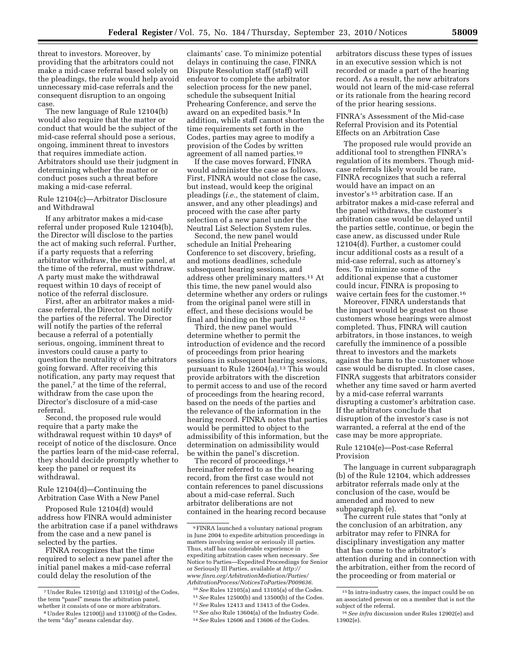threat to investors. Moreover, by providing that the arbitrators could not make a mid-case referral based solely on the pleadings, the rule would help avoid unnecessary mid-case referrals and the consequent disruption to an ongoing case.

The new language of Rule 12104(b) would also require that the matter or conduct that would be the subject of the mid-case referral should pose a serious, ongoing, imminent threat to investors that requires immediate action. Arbitrators should use their judgment in determining whether the matter or conduct poses such a threat before making a mid-case referral.

## Rule 12104(c)—Arbitrator Disclosure and Withdrawal

If any arbitrator makes a mid-case referral under proposed Rule 12104(b), the Director will disclose to the parties the act of making such referral. Further, if a party requests that a referring arbitrator withdraw, the entire panel, at the time of the referral, must withdraw. A party must make the withdrawal request within 10 days of receipt of notice of the referral disclosure.

First, after an arbitrator makes a midcase referral, the Director would notify the parties of the referral. The Director will notify the parties of the referral because a referral of a potentially serious, ongoing, imminent threat to investors could cause a party to question the neutrality of the arbitrators going forward. After receiving this notification, any party may request that the panel,<sup>7</sup> at the time of the referral, withdraw from the case upon the Director's disclosure of a mid-case referral.

Second, the proposed rule would require that a party make the withdrawal request within 10 days<sup>8</sup> of receipt of notice of the disclosure. Once the parties learn of the mid-case referral, they should decide promptly whether to keep the panel or request its withdrawal.

#### Rule 12104(d)—Continuing the Arbitration Case With a New Panel

Proposed Rule 12104(d) would address how FINRA would administer the arbitration case if a panel withdraws from the case and a new panel is selected by the parties.

FINRA recognizes that the time required to select a new panel after the initial panel makes a mid-case referral could delay the resolution of the

claimants' case. To minimize potential delays in continuing the case, FINRA Dispute Resolution staff (staff) will endeavor to complete the arbitrator selection process for the new panel, schedule the subsequent Initial Prehearing Conference, and serve the award on an expedited basis.9 In addition, while staff cannot shorten the time requirements set forth in the Codes, parties may agree to modify a provision of the Codes by written agreement of all named parties.10

If the case moves forward, FINRA would administer the case as follows. First, FINRA would not close the case, but instead, would keep the original pleadings (*i.e.,* the statement of claim, answer, and any other pleadings) and proceed with the case after party selection of a new panel under the Neutral List Selection System rules.

Second, the new panel would schedule an Initial Prehearing Conference to set discovery, briefing, and motions deadlines, schedule subsequent hearing sessions, and address other preliminary matters.11 At this time, the new panel would also determine whether any orders or rulings from the original panel were still in effect, and these decisions would be final and binding on the parties.12

Third, the new panel would determine whether to permit the introduction of evidence and the record of proceedings from prior hearing sessions in subsequent hearing sessions, pursuant to Rule 12604(a).<sup>13</sup> This would provide arbitrators with the discretion to permit access to and use of the record of proceedings from the hearing record, based on the needs of the parties and the relevance of the information in the hearing record. FINRA notes that parties would be permitted to object to the admissibility of this information, but the determination on admissibility would be within the panel's discretion.

The record of proceedings,<sup>14</sup> hereinafter referred to as the hearing record, from the first case would not contain references to panel discussions about a mid-case referral. Such arbitrator deliberations are not contained in the hearing record because

- 11*See* Rules 12500(b) and 13500(b) of the Codes.
- 12*See* Rules 12413 and 13413 of the Codes. 13*See also* Rule 13604(a) of the Industry Code.
- 14*See* Rules 12606 and 13606 of the Codes.

arbitrators discuss these types of issues in an executive session which is not recorded or made a part of the hearing record. As a result, the new arbitrators would not learn of the mid-case referral or its rationale from the hearing record of the prior hearing sessions.

FINRA's Assessment of the Mid-case Referral Provision and its Potential Effects on an Arbitration Case

The proposed rule would provide an additional tool to strengthen FINRA's regulation of its members. Though midcase referrals likely would be rare, FINRA recognizes that such a referral would have an impact on an investor's 15 arbitration case. If an arbitrator makes a mid-case referral and the panel withdraws, the customer's arbitration case would be delayed until the parties settle, continue, or begin the case anew, as discussed under Rule 12104(d). Further, a customer could incur additional costs as a result of a mid-case referral, such as attorney's fees. To minimize some of the additional expense that a customer could incur, FINRA is proposing to waive certain fees for the customer.16

Moreover, FINRA understands that the impact would be greatest on those customers whose hearings were almost completed. Thus, FINRA will caution arbitrators, in those instances, to weigh carefully the imminence of a possible threat to investors and the markets against the harm to the customer whose case would be disrupted. In close cases, FINRA suggests that arbitrators consider whether any time saved or harm averted by a mid-case referral warrants disrupting a customer's arbitration case. If the arbitrators conclude that disruption of the investor's case is not warranted, a referral at the end of the case may be more appropriate.

## Rule 12104(e)—Post-case Referral Provision

The language in current subparagraph (b) of the Rule 12104, which addresses arbitrator referrals made only at the conclusion of the case, would be amended and moved to new subparagraph (e).

The current rule states that "only at the conclusion of an arbitration, any arbitrator may refer to FINRA for disciplinary investigation any matter that has come to the arbitrator's attention during and in connection with the arbitration, either from the record of the proceeding or from material or

 $\,$  7 Under Rules 12101(g) and 13101(g) of the Codes, the term "panel" means the arbitration panel, whether it consists of one or more arbitrators.

<sup>8</sup>Under Rules 12100(j) and 13100(j) of the Codes, the term "day" means calendar day.

<sup>9</sup>FINRA launched a voluntary national program in June 2004 to expedite arbitration proceedings in matters involving senior or seriously ill parties. Thus, staff has considerable experience in expediting arbitration cases when necessary. *See*  Notice to Parties—Expedited Proceedings for Senior or Seriously Ill Parties, available at *[http://](http://www.finra.org/ArbitrationMediation/Parties/ArbitrationProcess/NoticesToParties/P009636) [www.finra.org/ArbitrationMediation/Parties/](http://www.finra.org/ArbitrationMediation/Parties/ArbitrationProcess/NoticesToParties/P009636) [ArbitrationProcess/NoticesToParties/P009636.](http://www.finra.org/ArbitrationMediation/Parties/ArbitrationProcess/NoticesToParties/P009636)* 

<sup>10</sup>*See* Rules 12105(a) and 13105(a) of the Codes.

<sup>15</sup> In intra-industry cases, the impact could be on an associated person or on a member that is not the subject of the referral.

<sup>16</sup>*See infra* discussion under Rules 12902(e) and 13902(e).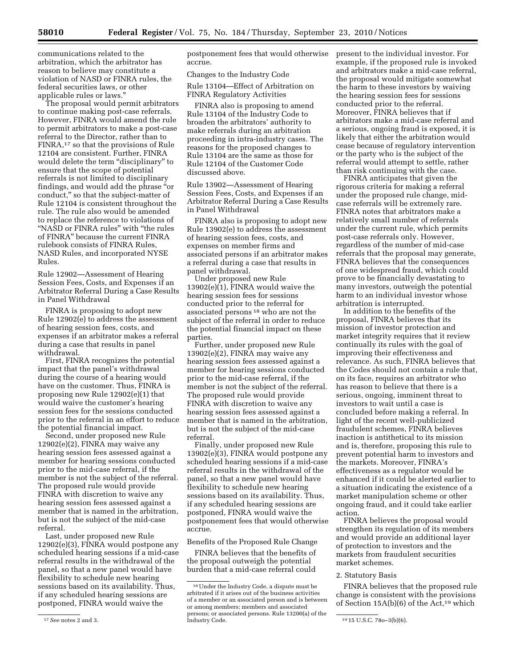communications related to the arbitration, which the arbitrator has reason to believe may constitute a violation of NASD or FINRA rules, the federal securities laws, or other applicable rules or laws.''

The proposal would permit arbitrators to continue making post-case referrals. However, FINRA would amend the rule to permit arbitrators to make a post-case referral to the Director, rather than to FINRA,17 so that the provisions of Rule 12104 are consistent. Further, FINRA would delete the term "disciplinary" to ensure that the scope of potential referrals is not limited to disciplinary findings, and would add the phrase ''or conduct,'' so that the subject-matter of Rule 12104 is consistent throughout the rule. The rule also would be amended to replace the reference to violations of ''NASD or FINRA rules'' with ''the rules of FINRA'' because the current FINRA rulebook consists of FINRA Rules, NASD Rules, and incorporated NYSE Rules.

Rule 12902—Assessment of Hearing Session Fees, Costs, and Expenses if an Arbitrator Referral During a Case Results in Panel Withdrawal

FINRA is proposing to adopt new Rule 12902(e) to address the assessment of hearing session fees, costs, and expenses if an arbitrator makes a referral during a case that results in panel withdrawal.

First, FINRA recognizes the potential impact that the panel's withdrawal during the course of a hearing would have on the customer. Thus, FINRA is proposing new Rule 12902(e)(1) that would waive the customer's hearing session fees for the sessions conducted prior to the referral in an effort to reduce the potential financial impact.

Second, under proposed new Rule 12902(e)(2), FINRA may waive any hearing session fees assessed against a member for hearing sessions conducted prior to the mid-case referral, if the member is not the subject of the referral. The proposed rule would provide FINRA with discretion to waive any hearing session fees assessed against a member that is named in the arbitration, but is not the subject of the mid-case referral.

Last, under proposed new Rule 12902(e)(3), FINRA would postpone any scheduled hearing sessions if a mid-case referral results in the withdrawal of the panel, so that a new panel would have flexibility to schedule new hearing sessions based on its availability. Thus, if any scheduled hearing sessions are postponed, FINRA would waive the

postponement fees that would otherwise accrue.

Changes to the Industry Code

Rule 13104—Effect of Arbitration on FINRA Regulatory Activities

FINRA also is proposing to amend Rule 13104 of the Industry Code to broaden the arbitrators' authority to make referrals during an arbitration proceeding in intra-industry cases. The reasons for the proposed changes to Rule 13104 are the same as those for Rule 12104 of the Customer Code discussed above.

Rule 13902—Assessment of Hearing Session Fees, Costs, and Expenses if an Arbitrator Referral During a Case Results in Panel Withdrawal

FINRA also is proposing to adopt new Rule 13902(e) to address the assessment of hearing session fees, costs, and expenses on member firms and associated persons if an arbitrator makes a referral during a case that results in panel withdrawal.

Under proposed new Rule  $13902(e)(1)$ , FINRA would waive the hearing session fees for sessions conducted prior to the referral for associated persons 18 who are not the subject of the referral in order to reduce the potential financial impact on these parties.

Further, under proposed new Rule 13902(e)(2), FINRA may waive any hearing session fees assessed against a member for hearing sessions conducted prior to the mid-case referral, if the member is not the subject of the referral. The proposed rule would provide FINRA with discretion to waive any hearing session fees assessed against a member that is named in the arbitration, but is not the subject of the mid-case referral.

Finally, under proposed new Rule 13902(e)(3), FINRA would postpone any scheduled hearing sessions if a mid-case referral results in the withdrawal of the panel, so that a new panel would have flexibility to schedule new hearing sessions based on its availability. Thus, if any scheduled hearing sessions are postponed, FINRA would waive the postponement fees that would otherwise accrue.

Benefits of the Proposed Rule Change

FINRA believes that the benefits of the proposal outweigh the potential burden that a mid-case referral could present to the individual investor. For example, if the proposed rule is invoked and arbitrators make a mid-case referral, the proposal would mitigate somewhat the harm to these investors by waiving the hearing session fees for sessions conducted prior to the referral. Moreover, FINRA believes that if arbitrators make a mid-case referral and a serious, ongoing fraud is exposed, it is likely that either the arbitration would cease because of regulatory intervention or the party who is the subject of the referral would attempt to settle, rather than risk continuing with the case.

FINRA anticipates that given the rigorous criteria for making a referral under the proposed rule change, midcase referrals will be extremely rare. FINRA notes that arbitrators make a relatively small number of referrals under the current rule, which permits post-case referrals only. However, regardless of the number of mid-case referrals that the proposal may generate, FINRA believes that the consequences of one widespread fraud, which could prove to be financially devastating to many investors, outweigh the potential harm to an individual investor whose arbitration is interrupted.

In addition to the benefits of the proposal, FINRA believes that its mission of investor protection and market integrity requires that it review continually its rules with the goal of improving their effectiveness and relevance. As such, FINRA believes that the Codes should not contain a rule that, on its face, requires an arbitrator who has reason to believe that there is a serious, ongoing, imminent threat to investors to wait until a case is concluded before making a referral. In light of the recent well-publicized fraudulent schemes, FINRA believes inaction is antithetical to its mission and is, therefore, proposing this rule to prevent potential harm to investors and the markets. Moreover, FINRA's effectiveness as a regulator would be enhanced if it could be alerted earlier to a situation indicating the existence of a market manipulation scheme or other ongoing fraud, and it could take earlier action.

FINRA believes the proposal would strengthen its regulation of its members and would provide an additional layer of protection to investors and the markets from fraudulent securities market schemes.

#### 2. Statutory Basis

FINRA believes that the proposed rule change is consistent with the provisions of Section 15A(b)(6) of the Act,<sup>19</sup> which

<sup>17</sup>*See* notes 2 and 3.

<sup>18</sup>Under the Industry Code, a dispute must be arbitrated if it arises out of the business activities of a member or an associated person and is between or among members; members and associated persons; or associated persons. Rule 13200(a) of the

<sup>19 15</sup> U.S.C. 78o-3(b)(6).